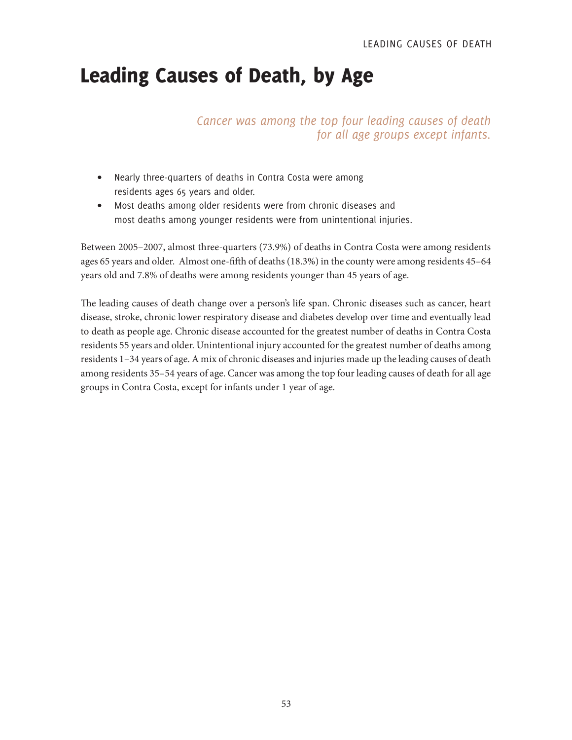# Leading Causes of Death, by Age

*Cancer was among the top four leading causes of death for all age groups except infants.*

- Nearly three-quarters of deaths in Contra Costa were among residents ages 65 years and older.
- Most deaths among older residents were from chronic diseases and most deaths among younger residents were from unintentional injuries.

Between 2005–2007, almost three-quarters (73.9%) of deaths in Contra Costa were among residents ages 65 years and older. Almost one-fifth of deaths (18.3%) in the county were among residents 45–64 years old and 7.8% of deaths were among residents younger than 45 years of age.

The leading causes of death change over a person's life span. Chronic diseases such as cancer, heart disease, stroke, chronic lower respiratory disease and diabetes develop over time and eventually lead to death as people age. Chronic disease accounted for the greatest number of deaths in Contra Costa residents 55 years and older. Unintentional injury accounted for the greatest number of deaths among residents 1–34 years of age. A mix of chronic diseases and injuries made up the leading causes of death among residents 35–54 years of age. Cancer was among the top four leading causes of death for all age groups in Contra Costa, except for infants under 1 year of age.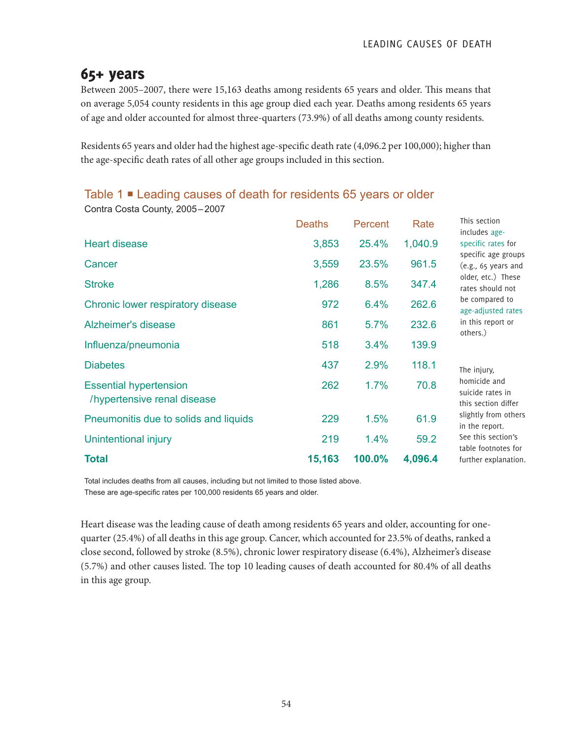## 65+ years

Contra Costa County, 2005–2007

Between 2005–2007, there were 15,163 deaths among residents 65 years and older. This means that on average 5,054 county residents in this age group died each year. Deaths among residents 65 years of age and older accounted for almost three-quarters (73.9%) of all deaths among county residents.

Residents 65 years and older had the highest age-specific death rate (4,096.2 per 100,000); higher than the age-specific death rates of all other age groups included in this section.

## Table 1 **■** Leading causes of death for residents 65 years or older

|                                                              | <b>Deaths</b> | Percent | Rate    | This section<br>includes age-                           |
|--------------------------------------------------------------|---------------|---------|---------|---------------------------------------------------------|
| <b>Heart disease</b>                                         | 3,853         | 25.4%   | 1,040.9 | specific rates for                                      |
| Cancer                                                       | 3,559         | 23.5%   | 961.5   | specific age groups<br>(e.g., 65 years and              |
| <b>Stroke</b>                                                | 1,286         | 8.5%    | 347.4   | older, etc.) These<br>rates should not                  |
| Chronic lower respiratory disease                            | 972           | 6.4%    | 262.6   | be compared to<br>age-adjusted rates                    |
| Alzheimer's disease                                          | 861           | 5.7%    | 232.6   | in this report or<br>others.)                           |
| Influenza/pneumonia                                          | 518           | 3.4%    | 139.9   |                                                         |
| <b>Diabetes</b>                                              | 437           | 2.9%    | 118.1   | The injury,                                             |
| <b>Essential hypertension</b><br>/hypertensive renal disease | 262           | 1.7%    | 70.8    | homicide and<br>suicide rates in<br>this section differ |
| Pneumonitis due to solids and liquids                        | 229           | 1.5%    | 61.9    | slightly from others<br>in the report.                  |
| Unintentional injury                                         | 219           | 1.4%    | 59.2    | See this section's<br>table footnotes for               |
| <b>Total</b>                                                 | 15,163        | 100.0%  | 4,096.4 | further explanation.                                    |

Total includes deaths from all causes, including but not limited to those listed above. These are age-specific rates per 100,000 residents 65 years and older.

Heart disease was the leading cause of death among residents 65 years and older, accounting for onequarter (25.4%) of all deaths in this age group. Cancer, which accounted for 23.5% of deaths, ranked a close second, followed by stroke (8.5%), chronic lower respiratory disease (6.4%), Alzheimer's disease (5.7%) and other causes listed. The top 10 leading causes of death accounted for 80.4% of all deaths in this age group.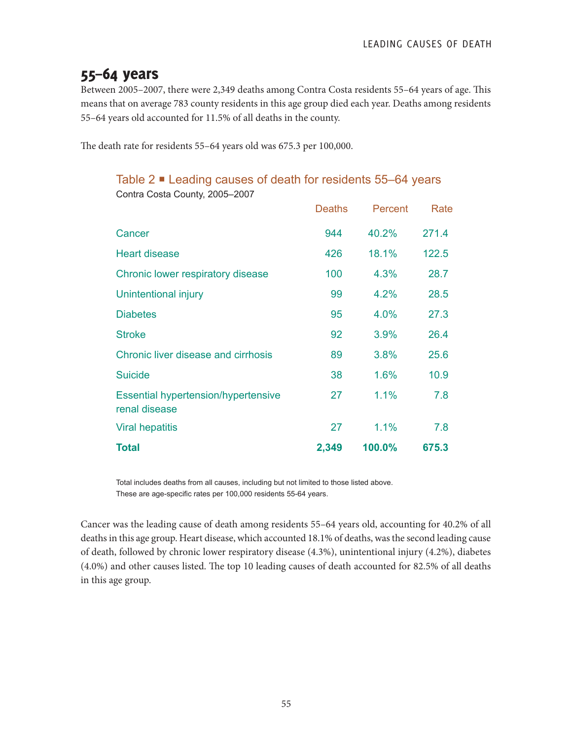## 55–64 years

Between 2005–2007, there were 2,349 deaths among Contra Costa residents 55–64 years of age. This means that on average 783 county residents in this age group died each year. Deaths among residents 55–64 years old accounted for 11.5% of all deaths in the county.

The death rate for residents 55–64 years old was 675.3 per 100,000.

Contra Costa County, 2005–2007

### Table 2 ■ Leading causes of death for residents 55–64 years

| <b>Solitia Sosta Sourity, 2000 2001</b>                     |               |         |       |
|-------------------------------------------------------------|---------------|---------|-------|
|                                                             | <b>Deaths</b> | Percent | Rate  |
| Cancer                                                      | 944           | 40.2%   | 271.4 |
| <b>Heart disease</b>                                        | 426           | 18.1%   | 122.5 |
| Chronic lower respiratory disease                           | 100           | 4.3%    | 28.7  |
| Unintentional injury                                        | 99            | 4.2%    | 28.5  |
| <b>Diabetes</b>                                             | 95            | 4.0%    | 27.3  |
| <b>Stroke</b>                                               | 92            | 3.9%    | 26.4  |
| <b>Chronic liver disease and cirrhosis</b>                  | 89            | 3.8%    | 25.6  |
| <b>Suicide</b>                                              | 38            | 1.6%    | 10.9  |
| <b>Essential hypertension/hypertensive</b><br>renal disease | 27            | 1.1%    | 7.8   |
| <b>Viral hepatitis</b>                                      | 27            | 1.1%    | 7.8   |
| <b>Total</b>                                                | 2,349         | 100.0%  | 675.3 |

Total includes deaths from all causes, including but not limited to those listed above. These are age-specific rates per 100,000 residents 55-64 years.

Cancer was the leading cause of death among residents 55–64 years old, accounting for 40.2% of all deaths in this age group. Heart disease, which accounted 18.1% of deaths, was the second leading cause of death, followed by chronic lower respiratory disease (4.3%), unintentional injury (4.2%), diabetes (4.0%) and other causes listed. The top 10 leading causes of death accounted for 82.5% of all deaths in this age group.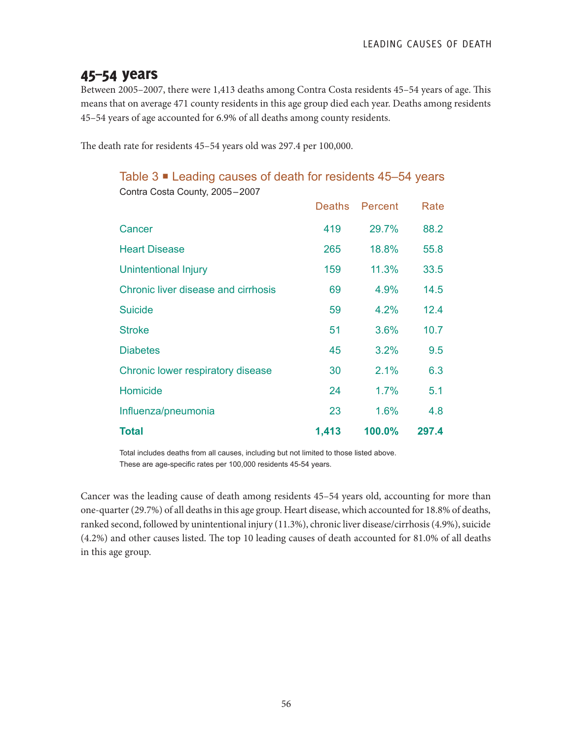## 45–54 years

Between 2005–2007, there were 1,413 deaths among Contra Costa residents 45–54 years of age. This means that on average 471 county residents in this age group died each year. Deaths among residents 45–54 years of age accounted for 6.9% of all deaths among county residents.

The death rate for residents 45–54 years old was 297.4 per 100,000.

#### Table 3 ■ Leading causes of death for residents 45–54 years Contra Costa County, 2005–2007

|                                     | <b>Deaths</b> | Percent | Rate  |
|-------------------------------------|---------------|---------|-------|
| Cancer                              | 419           | 29.7%   | 88.2  |
| <b>Heart Disease</b>                | 265           | 18.8%   | 55.8  |
| Unintentional Injury                | 159           | 11.3%   | 33.5  |
| Chronic liver disease and cirrhosis | 69            | 4.9%    | 14.5  |
| <b>Suicide</b>                      | 59            | $4.2\%$ | 12.4  |
| <b>Stroke</b>                       | 51            | 3.6%    | 10.7  |
| <b>Diabetes</b>                     | 45            | 3.2%    | 9.5   |
| Chronic lower respiratory disease   | 30            | 2.1%    | 6.3   |
| Homicide                            | 24            | 1.7%    | 5.1   |
| Influenza/pneumonia                 | 23            | 1.6%    | 4.8   |
| <b>Total</b>                        | 1,413         | 100.0%  | 297.4 |

Total includes deaths from all causes, including but not limited to those listed above. These are age-specific rates per 100,000 residents 45-54 years.

Cancer was the leading cause of death among residents 45–54 years old, accounting for more than one-quarter (29.7%) of all deaths in this age group. Heart disease, which accounted for 18.8% of deaths, ranked second, followed by unintentional injury (11.3%), chronic liver disease/cirrhosis (4.9%), suicide (4.2%) and other causes listed. The top 10 leading causes of death accounted for 81.0% of all deaths in this age group.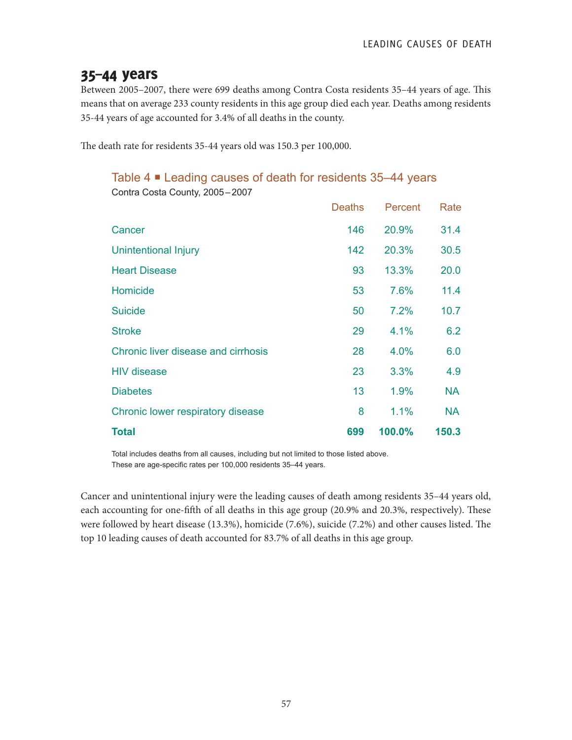## 35–44 years

Between 2005–2007, there were 699 deaths among Contra Costa residents 35–44 years of age. This means that on average 233 county residents in this age group died each year. Deaths among residents 35-44 years of age accounted for 3.4% of all deaths in the county.

The death rate for residents 35-44 years old was 150.3 per 100,000.

### Table 4 Leading causes of death for residents 35–44 years

|                                     | <b>Deaths</b> | Percent | Rate      |
|-------------------------------------|---------------|---------|-----------|
| Cancer                              | 146           | 20.9%   | 31.4      |
| <b>Unintentional Injury</b>         | 142           | 20.3%   | 30.5      |
| <b>Heart Disease</b>                | 93            | 13.3%   | 20.0      |
| Homicide                            | 53            | 7.6%    | 11.4      |
| <b>Suicide</b>                      | 50            | 7.2%    | 10.7      |
| <b>Stroke</b>                       | 29            | 4.1%    | 6.2       |
| Chronic liver disease and cirrhosis | 28            | 4.0%    | 6.0       |
| <b>HIV disease</b>                  | 23            | 3.3%    | 4.9       |
| <b>Diabetes</b>                     | 13            | 1.9%    | <b>NA</b> |
| Chronic lower respiratory disease   | 8             | 1.1%    | <b>NA</b> |
| <b>Total</b>                        | 699           | 100.0%  | 150.3     |

Contra Costa County, 2005–2007

Total includes deaths from all causes, including but not limited to those listed above. These are age-specific rates per 100,000 residents 35–44 years.

Cancer and unintentional injury were the leading causes of death among residents 35–44 years old, each accounting for one-fifth of all deaths in this age group (20.9% and 20.3%, respectively). These were followed by heart disease (13.3%), homicide (7.6%), suicide (7.2%) and other causes listed. The top 10 leading causes of death accounted for 83.7% of all deaths in this age group.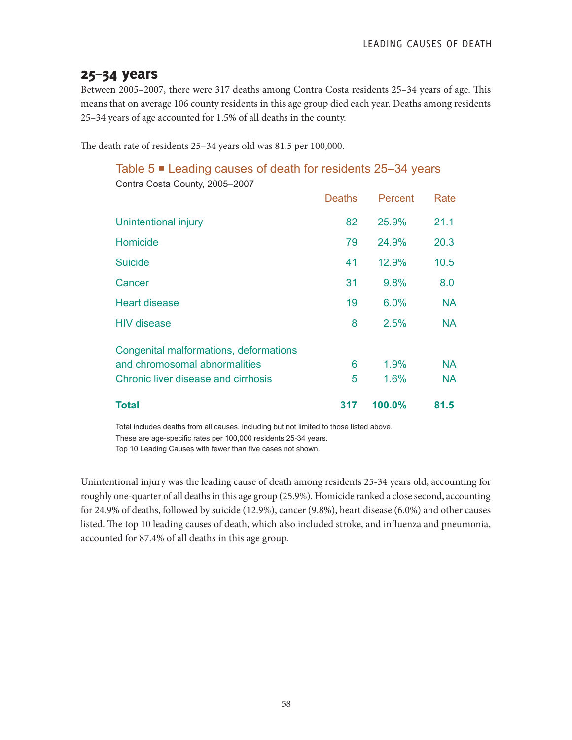## 25–34 years

Between 2005–2007, there were 317 deaths among Contra Costa residents 25–34 years of age. This means that on average 106 county residents in this age group died each year. Deaths among residents 25–34 years of age accounted for 1.5% of all deaths in the county.

The death rate of residents 25–34 years old was 81.5 per 100,000.

#### Table 5 ■ Leading causes of death for residents 25–34 years Contra Costa County, 2005–2007

| <b>Total</b>                                                            | 317           | 100.0%  | 81.5      |
|-------------------------------------------------------------------------|---------------|---------|-----------|
| Chronic liver disease and cirrhosis                                     | 5             | 1.6%    | <b>NA</b> |
| Congenital malformations, deformations<br>and chromosomal abnormalities | 6             | 1.9%    | <b>NA</b> |
| <b>HIV</b> disease                                                      | 8             | 2.5%    | <b>NA</b> |
| <b>Heart disease</b>                                                    | 19            | 6.0%    | <b>NA</b> |
| Cancer                                                                  | 31            | 9.8%    | 8.0       |
| <b>Suicide</b>                                                          | 41            | 12.9%   | 10.5      |
| Homicide                                                                | 79            | 24.9%   | 20.3      |
| Unintentional injury                                                    | 82            | 25.9%   | 21.1      |
|                                                                         | <b>Deaths</b> | Percent | Rate      |

Total includes deaths from all causes, including but not limited to those listed above. These are age-specific rates per 100,000 residents 25-34 years.

Top 10 Leading Causes with fewer than five cases not shown.

Unintentional injury was the leading cause of death among residents 25-34 years old, accounting for roughly one-quarter of all deaths in this age group (25.9%). Homicide ranked a close second, accounting for 24.9% of deaths, followed by suicide (12.9%), cancer (9.8%), heart disease (6.0%) and other causes listed. The top 10 leading causes of death, which also included stroke, and influenza and pneumonia, accounted for 87.4% of all deaths in this age group.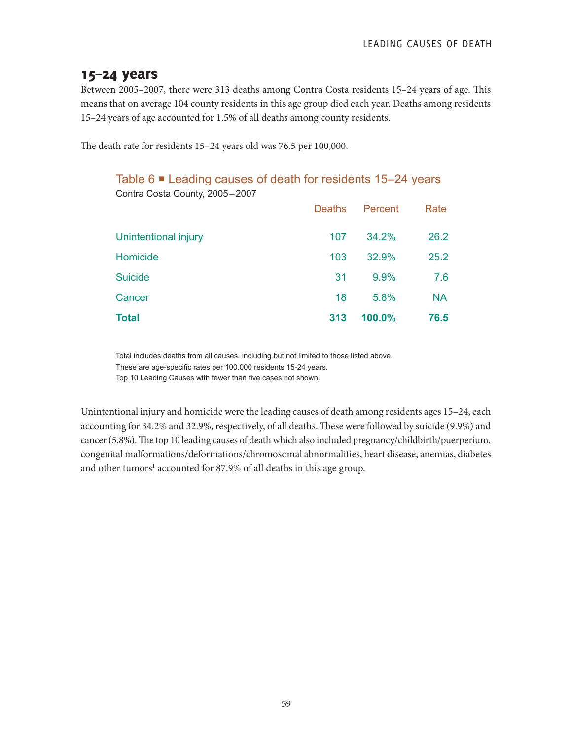## 15–24 years

Between 2005–2007, there were 313 deaths among Contra Costa residents 15–24 years of age. This means that on average 104 county residents in this age group died each year. Deaths among residents 15–24 years of age accounted for 1.5% of all deaths among county residents.

The death rate for residents 15–24 years old was 76.5 per 100,000.

#### Table 6 Leading causes of death for residents 15–24 years Contra Costa County, 2005–2007

| <b>Total</b>         | 313           | 100.0%  | 76.5      |
|----------------------|---------------|---------|-----------|
| Cancer               | 18            | 5.8%    | <b>NA</b> |
| <b>Suicide</b>       | 31            | 9.9%    | 7.6       |
| Homicide             | 103           | 32.9%   | 25.2      |
| Unintentional injury | 107           | 34.2%   | 26.2      |
|                      | <b>Deaths</b> | Percent | Rate      |
| $\sim$               |               |         |           |

Total includes deaths from all causes, including but not limited to those listed above. These are age-specific rates per 100,000 residents 15-24 years. Top 10 Leading Causes with fewer than five cases not shown.

Unintentional injury and homicide were the leading causes of death among residents ages 15–24, each accounting for 34.2% and 32.9%, respectively, of all deaths. These were followed by suicide (9.9%) and cancer (5.8%). The top 10 leading causes of death which also included pregnancy/childbirth/puerperium, congenital malformations/deformations/chromosomal abnormalities, heart disease, anemias, diabetes and other tumors<sup>1</sup> accounted for 87.9% of all deaths in this age group.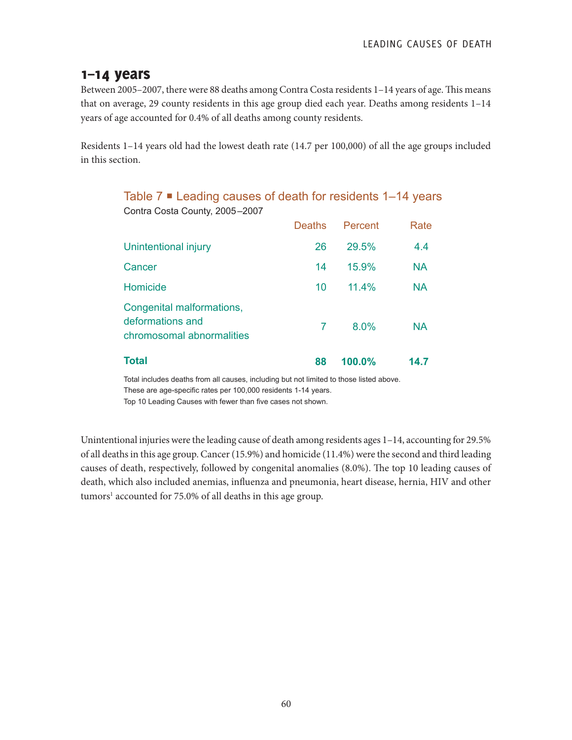## 1–14 years

Between 2005–2007, there were 88 deaths among Contra Costa residents 1–14 years of age. This means that on average, 29 county residents in this age group died each year. Deaths among residents 1–14 years of age accounted for 0.4% of all deaths among county residents.

Residents 1–14 years old had the lowest death rate (14.7 per 100,000) of all the age groups included in this section.

Table 7 **■** Leading causes of death for residents 1–14 years

Contra Costa County, 2005–2007 Deaths Percent Rate Unintentional injury 26 29.5% 4.4 Cancer 2012 14 15.9% NA Homicide 10 11.4% NA Congenital malformations, deformations and chromosomal abnormalities 7 8.0% NA **Total 88 100.0% 14.7**

Total includes deaths from all causes, including but not limited to those listed above. These are age-specific rates per 100,000 residents 1-14 years.

Top 10 Leading Causes with fewer than five cases not shown.

Unintentional injuries were the leading cause of death among residents ages 1–14, accounting for 29.5% of all deaths in this age group. Cancer (15.9%) and homicide (11.4%) were the second and third leading causes of death, respectively, followed by congenital anomalies (8.0%). The top 10 leading causes of death, which also included anemias, influenza and pneumonia, heart disease, hernia, HIV and other tumors<sup>1</sup> accounted for 75.0% of all deaths in this age group.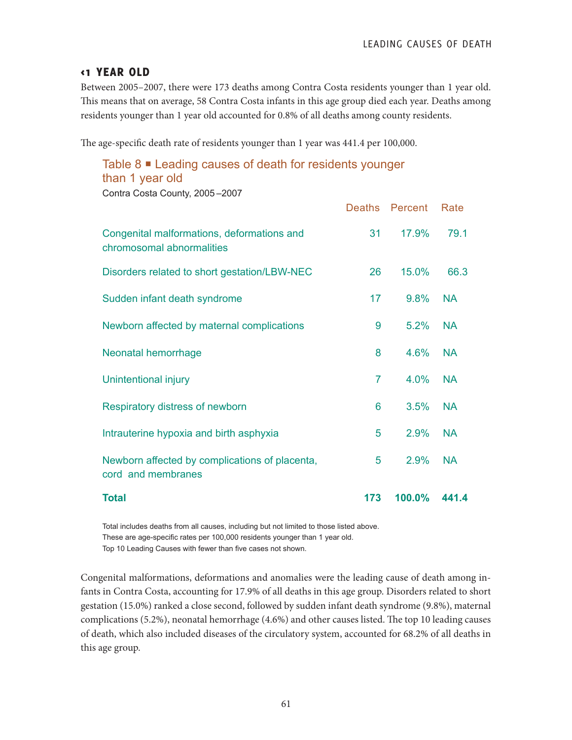#### <1 YEAR OLD

Between 2005–2007, there were 173 deaths among Contra Costa residents younger than 1 year old. This means that on average, 58 Contra Costa infants in this age group died each year. Deaths among residents younger than 1 year old accounted for 0.8% of all deaths among county residents.

The age-specific death rate of residents younger than 1 year was 441.4 per 100,000.

## Table 8 <sup>■</sup> Leading causes of death for residents younger than 1 year old

Contra Costa County, 2005 –2007

|                                                                         | <b>Deaths</b> | Percent | Rate      |
|-------------------------------------------------------------------------|---------------|---------|-----------|
| Congenital malformations, deformations and<br>chromosomal abnormalities | 31            | 17.9%   | 79.1      |
| Disorders related to short gestation/LBW-NEC                            | 26            | 15.0%   | 66.3      |
| Sudden infant death syndrome                                            | 17            | 9.8%    | <b>NA</b> |
| Newborn affected by maternal complications                              | 9             | 5.2%    | <b>NA</b> |
| Neonatal hemorrhage                                                     | 8             | 4.6%    | <b>NA</b> |
| Unintentional injury                                                    | 7             | 4.0%    | <b>NA</b> |
| Respiratory distress of newborn                                         | 6             | 3.5%    | <b>NA</b> |
| Intrauterine hypoxia and birth asphyxia                                 | 5             | 2.9%    | <b>NA</b> |
| Newborn affected by complications of placenta,<br>cord and membranes    | 5             | 2.9%    | <b>NA</b> |
| <b>Total</b>                                                            | 173           | 100.0%  | 441.4     |

Total includes deaths from all causes, including but not limited to those listed above. These are age-specific rates per 100,000 residents younger than 1 year old. Top 10 Leading Causes with fewer than five cases not shown.

Congenital malformations, deformations and anomalies were the leading cause of death among infants in Contra Costa, accounting for 17.9% of all deaths in this age group. Disorders related to short gestation (15.0%) ranked a close second, followed by sudden infant death syndrome (9.8%), maternal complications (5.2%), neonatal hemorrhage (4.6%) and other causes listed. The top 10 leading causes of death, which also included diseases of the circulatory system, accounted for 68.2% of all deaths in this age group.